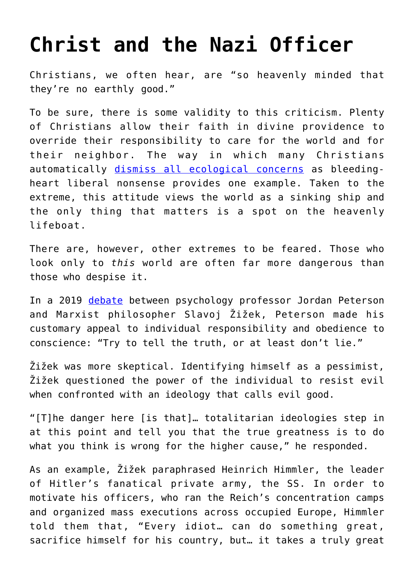## **[Christ and the Nazi Officer](https://intellectualtakeout.org/2020/04/christ-and-the-nazi-officer/)**

Christians, we often hear, are "so heavenly minded that they're no earthly good."

To be sure, there is some validity to this criticism. Plenty of Christians allow their faith in divine providence to override their responsibility to care for the world and for their neighbor. The way in which many Christians automatically [dismiss all ecological concerns](https://www.plough.com/en/topics/justice/environment/jesus-is-coming-plant-a-tree) as bleedingheart liberal nonsense provides one example. Taken to the extreme, this attitude views the world as a sinking ship and the only thing that matters is a spot on the heavenly lifeboat.

There are, however, other extremes to be feared. Those who look only to *this* world are often far more dangerous than those who despise it.

In a 2019 [debate](https://www.youtube.com/watch?v=qsHJ3LvUWTs) between psychology professor Jordan Peterson and Marxist philosopher Slavoj Žižek, Peterson made his customary appeal to individual responsibility and obedience to conscience: "Try to tell the truth, or at least don't lie."

Žižek was more skeptical. Identifying himself as a pessimist, Žižek questioned the power of the individual to resist evil when confronted with an ideology that calls evil good.

"[T]he danger here [is that]… totalitarian ideologies step in at this point and tell you that the true greatness is to do what you think is wrong for the higher cause," he responded.

As an example, Žižek paraphrased Heinrich Himmler, the leader of Hitler's fanatical private army, the SS. In order to motivate his officers, who ran the Reich's concentration camps and organized mass executions across occupied Europe, Himmler told them that, "Every idiot… can do something great, sacrifice himself for his country, but… it takes a truly great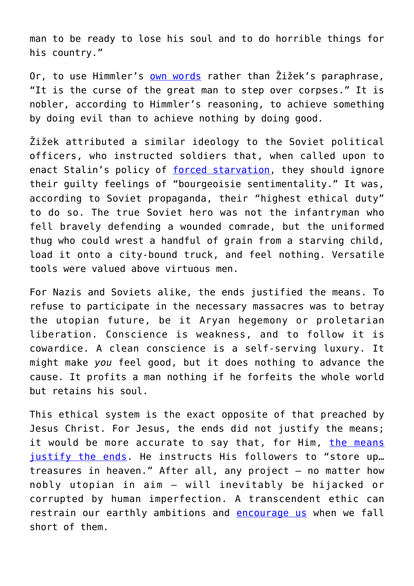man to be ready to lose his soul and to do horrible things for his country."

Or, to use Himmler's [own words](https://en.wikiquote.org/wiki/Heinrich_Himmler) rather than Žižek's paraphrase, "It is the curse of the great man to step over corpses." It is nobler, according to Himmler's reasoning, to achieve something by doing evil than to achieve nothing by doing good.

Žižek attributed a similar ideology to the Soviet political officers, who instructed soldiers that, when called upon to enact Stalin's policy of [forced starvation](https://www.atlasobscura.com/places/holodomor-memorial), they should ignore their guilty feelings of "bourgeoisie sentimentality." It was, according to Soviet propaganda, their "highest ethical duty" to do so. The true Soviet hero was not the infantryman who fell bravely defending a wounded comrade, but the uniformed thug who could wrest a handful of grain from a starving child, load it onto a city-bound truck, and feel nothing. Versatile tools were valued above virtuous men.

For Nazis and Soviets alike, the ends justified the means. To refuse to participate in the necessary massacres was to betray the utopian future, be it Aryan hegemony or proletarian liberation. Conscience is weakness, and to follow it is cowardice. A clean conscience is a self-serving luxury. It might make *you* feel good, but it does nothing to advance the cause. It profits a man nothing if he forfeits the whole world but retains his soul.

This ethical system is the exact opposite of that preached by Jesus Christ. For Jesus, the ends did not justify the means; it would be more accurate to say that, for Him, [the means](https://www.youtube.com/watch?v=Ihqki-K7MiU) [justify the ends.](https://www.youtube.com/watch?v=Ihqki-K7MiU) He instructs His followers to "store up... treasures in heaven." After all, any project – no matter how nobly utopian in aim – will inevitably be hijacked or corrupted by human imperfection. A transcendent ethic can restrain our earthly ambitions and [encourage us](https://books.google.com/books?id=xlzR45VQwesC&pg=PA81&lpg=PA81&dq=%22I+can+put+God+into+a+man%27s+mouth+just+the+same+%E2%80%93+and+I+can+give+him+God%27s+pardon%22&source=bl&ots=R8tI_3unxc&sig=ACfU3U1vXpyPGkUHKFcfufsjLYXKIVDkpA&hl=en&sa=X&ved=2ahUKEwiyiK2ngsXoAhVylnIEHVYxDNUQ6AEwA3oECAkQAQ#v=onepage&q=%22I%20can%20put%20God%20into%20a%20man) when we fall short of them.